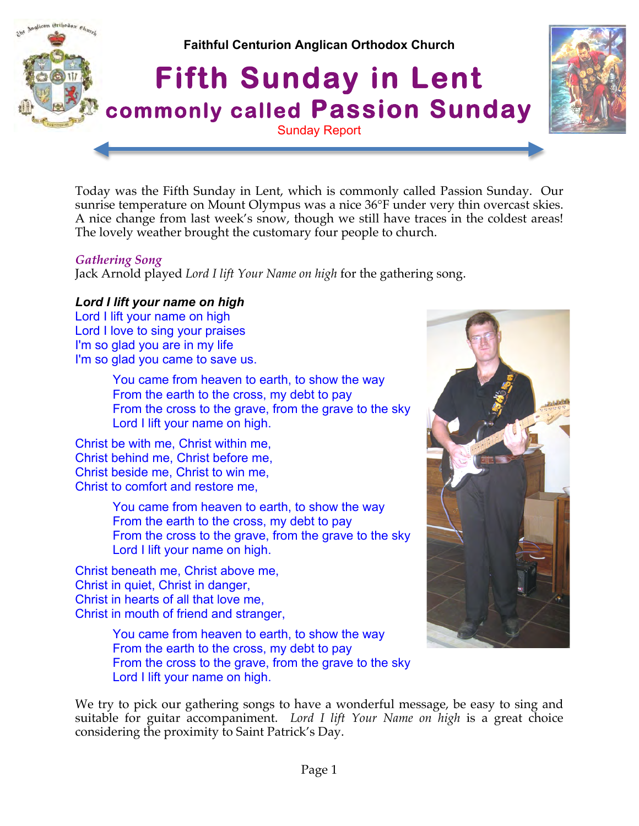**Faithful Centurion Anglican Orthodox Church** 

# **Fifth Sunday in Lent commonly called Passion Sunday** Sunday Report



Today was the Fifth Sunday in Lent, which is commonly called Passion Sunday. Our sunrise temperature on Mount Olympus was a nice 36°F under very thin overcast skies. A nice change from last week's snow, though we still have traces in the coldest areas! The lovely weather brought the customary four people to church.

## *Gathering Song*

malican Orthodox Church

Jack Arnold played *Lord I lift Your Name on high* for the gathering song.

## *Lord I lift your name on high*

Lord I lift your name on high Lord I love to sing your praises I'm so glad you are in my life I'm so glad you came to save us.

> You came from heaven to earth, to show the way From the earth to the cross, my debt to pay From the cross to the grave, from the grave to the sky Lord I lift your name on high.

Christ be with me, Christ within me, Christ behind me, Christ before me, Christ beside me, Christ to win me, Christ to comfort and restore me,

> You came from heaven to earth, to show the way From the earth to the cross, my debt to pay From the cross to the grave, from the grave to the sky Lord I lift your name on high.

Christ beneath me, Christ above me, Christ in quiet, Christ in danger, Christ in hearts of all that love me, Christ in mouth of friend and stranger,

> You came from heaven to earth, to show the way From the earth to the cross, my debt to pay From the cross to the grave, from the grave to the sky Lord I lift your name on high.



We try to pick our gathering songs to have a wonderful message, be easy to sing and suitable for guitar accompaniment. *Lord I lift Your Name on high* is a great choice considering the proximity to Saint Patrick's Day.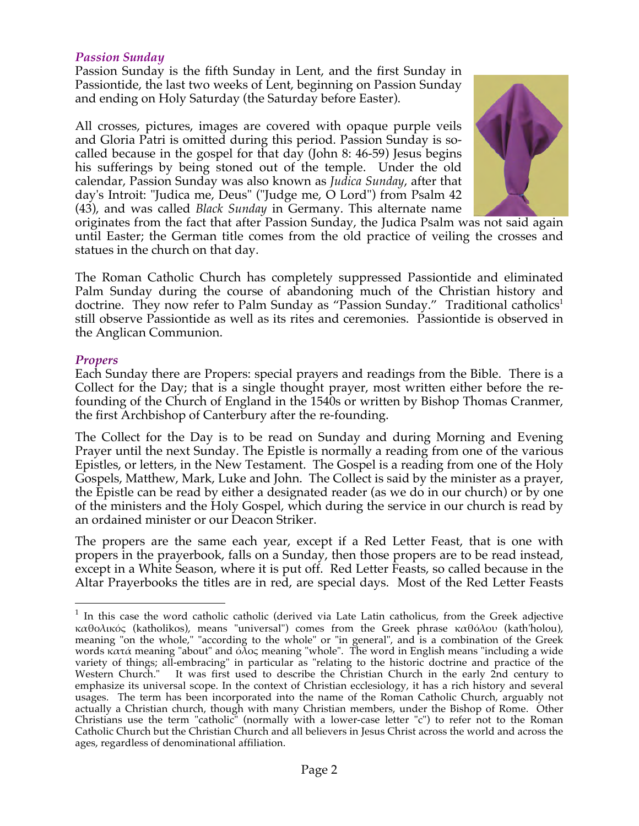## *Passion Sunday*

Passion Sunday is the fifth Sunday in Lent, and the first Sunday in Passiontide, the last two weeks of Lent, beginning on Passion Sunday and ending on Holy Saturday (the Saturday before Easter).

All crosses, pictures, images are covered with opaque purple veils and Gloria Patri is omitted during this period. Passion Sunday is socalled because in the gospel for that day (John 8: 46-59) Jesus begins his sufferings by being stoned out of the temple. Under the old calendar, Passion Sunday was also known as *Judica Sunday*, after that day's Introit: "Judica me, Deus" ("Judge me, O Lord") from Psalm 42 (43), and was called *Black Sunday* in Germany. This alternate name



originates from the fact that after Passion Sunday, the Judica Psalm was not said again until Easter; the German title comes from the old practice of veiling the crosses and statues in the church on that day.

The Roman Catholic Church has completely suppressed Passiontide and eliminated Palm Sunday during the course of abandoning much of the Christian history and doctrine. They now refer to Palm Sunday as "Passion Sunday." Traditional catholics<sup>1</sup> still observe Passiontide as well as its rites and ceremonies. Passiontide is observed in the Anglican Communion.

#### *Propers*

 $\overline{a}$ 

Each Sunday there are Propers: special prayers and readings from the Bible. There is a Collect for the Day; that is a single thought prayer, most written either before the refounding of the Church of England in the 1540s or written by Bishop Thomas Cranmer, the first Archbishop of Canterbury after the re-founding.

The Collect for the Day is to be read on Sunday and during Morning and Evening Prayer until the next Sunday. The Epistle is normally a reading from one of the various Epistles, or letters, in the New Testament. The Gospel is a reading from one of the Holy Gospels, Matthew, Mark, Luke and John. The Collect is said by the minister as a prayer, the Epistle can be read by either a designated reader (as we do in our church) or by one of the ministers and the Holy Gospel, which during the service in our church is read by an ordained minister or our Deacon Striker.

The propers are the same each year, except if a Red Letter Feast, that is one with propers in the prayerbook, falls on a Sunday, then those propers are to be read instead, except in a White Season, where it is put off. Red Letter Feasts, so called because in the Altar Prayerbooks the titles are in red, are special days. Most of the Red Letter Feasts

 $1$  In this case the word catholic catholic (derived via Late Latin catholicus, from the Greek adjective  $\kappa\alpha$ θολικός (katholikos), means "universal") comes from the Greek phrase καθόλου (kath'holou), meaning "on the whole," "according to the whole" or "in general", and is a combination of the Greek words κατά meaning "about" and όλος meaning "whole". The word in English means "including a wide variety of things; all-embracing" in particular as "relating to the historic doctrine and practice of the Western Church." It was first used to describe the Christian Church in the early 2nd century to emphasize its universal scope. In the context of Christian ecclesiology, it has a rich history and several usages. The term has been incorporated into the name of the Roman Catholic Church, arguably not actually a Christian church, though with many Christian members, under the Bishop of Rome. Other Christians use the term "catholic" (normally with a lower-case letter "c") to refer not to the Roman Catholic Church but the Christian Church and all believers in Jesus Christ across the world and across the ages, regardless of denominational affiliation.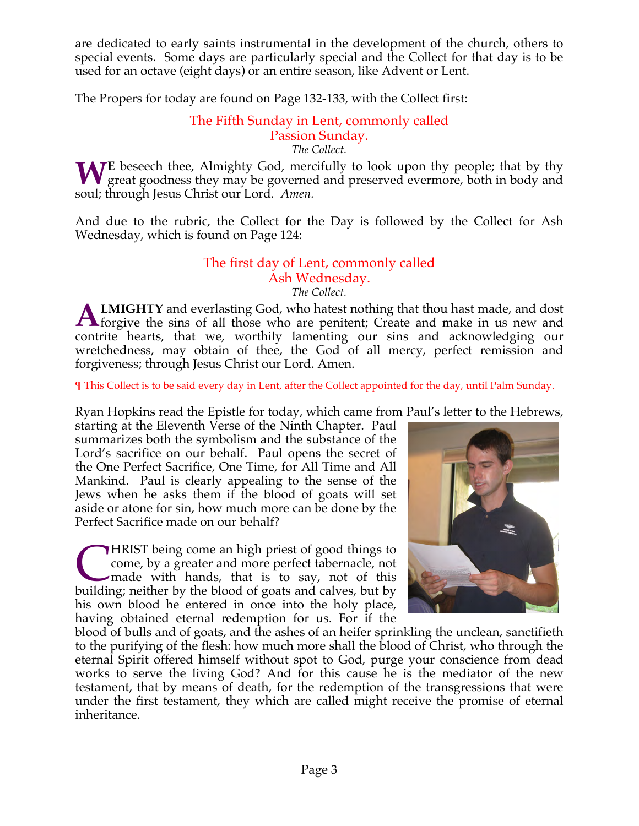are dedicated to early saints instrumental in the development of the church, others to special events. Some days are particularly special and the Collect for that day is to be used for an octave (eight days) or an entire season, like Advent or Lent.

The Propers for today are found on Page 132-133, with the Collect first:

#### The Fifth Sunday in Lent, commonly called Passion Sunday. *The Collect.*

**WE** beseech thee, Almighty God, mercifully to look upon thy people; that by thy great goodness they may be governed and preserved evermore, both in body and great goodness they may be governed and preserved evermore, both in body and soul; through Jesus Christ our Lord*. Amen.* 

And due to the rubric, the Collect for the Day is followed by the Collect for Ash Wednesday, which is found on Page 124:

#### The first day of Lent, commonly called Ash Wednesday. *The Collect.*

**LMIGHTY** and everlasting God, who hatest nothing that thou hast made, and dost **ALMIGHTY** and everlasting God, who hatest nothing that thou hast made, and dost forgive the sins of all those who are penitent; Create and make in us new and contrite hearts, that we, worthily lamenting our sins and acknowledging our wretchedness, may obtain of thee, the God of all mercy, perfect remission and forgiveness; through Jesus Christ our Lord. Amen.

¶ This Collect is to be said every day in Lent, after the Collect appointed for the day, until Palm Sunday.

Ryan Hopkins read the Epistle for today, which came from Paul's letter to the Hebrews,

starting at the Eleventh Verse of the Ninth Chapter. Paul summarizes both the symbolism and the substance of the Lord's sacrifice on our behalf. Paul opens the secret of the One Perfect Sacrifice, One Time, for All Time and All Mankind. Paul is clearly appealing to the sense of the Jews when he asks them if the blood of goats will set aside or atone for sin, how much more can be done by the Perfect Sacrifice made on our behalf?

**HRIST** being come an high priest of good things to come, by a greater and more perfect tabernacle, not made with hands, that is to say, not of this **CHRIST** being come an high priest of good things to come, by a greater and more perfect tabernacle, not made with hands, that is to say, not of this building; neither by the blood of goats and calves, but by his own blood he entered in once into the holy place, having obtained eternal redemption for us. For if the



blood of bulls and of goats, and the ashes of an heifer sprinkling the unclean, sanctifieth to the purifying of the flesh: how much more shall the blood of Christ, who through the eternal Spirit offered himself without spot to God, purge your conscience from dead works to serve the living God? And for this cause he is the mediator of the new testament, that by means of death, for the redemption of the transgressions that were under the first testament, they which are called might receive the promise of eternal inheritance.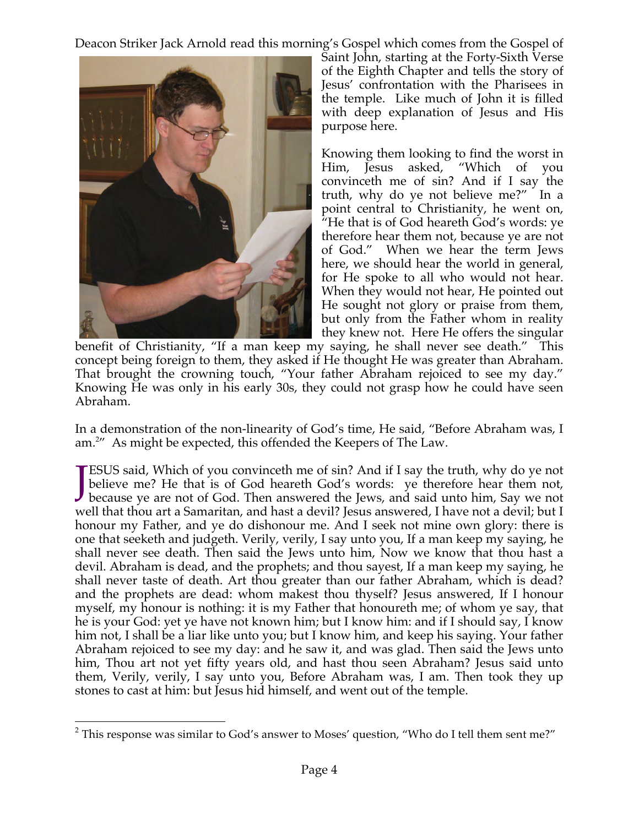Deacon Striker Jack Arnold read this morning's Gospel which comes from the Gospel of



Saint John, starting at the Forty-Sixth Verse of the Eighth Chapter and tells the story of Jesus' confrontation with the Pharisees in the temple. Like much of John it is filled with deep explanation of Jesus and His purpose here.

Knowing them looking to find the worst in Him, Jesus asked, "Which of you convinceth me of sin? And if I say the truth, why do ye not believe me?" In a point central to Christianity, he went on, "He that is of God heareth God's words: ye therefore hear them not, because ye are not of God." When we hear the term Jews here, we should hear the world in general, for He spoke to all who would not hear. When they would not hear, He pointed out He sought not glory or praise from them, but only from the Father whom in reality they knew not. Here He offers the singular

benefit of Christianity, "If a man keep my saying, he shall never see death." This concept being foreign to them, they asked if He thought He was greater than Abraham. That brought the crowning touch, "Your father Abraham rejoiced to see my day." Knowing He was only in his early 30s, they could not grasp how he could have seen Abraham.

In a demonstration of the non-linearity of God's time, He said, "Before Abraham was, I am.<sup>2</sup> As might be expected, this offended the Keepers of The Law.

ESUS said, Which of you convinceth me of sin? And if I say the truth, why do ye not believe me? He that is of God heareth God's words: ye therefore hear them not, **JESUS** said, Which of you convinceth me of sin? And if I say the truth, why do ye not believe me? He that is of God heareth God's words: ye therefore hear them not, because ye are not of God. Then answered the Jews, and s well that thou art a Samaritan, and hast a devil? Jesus answered, I have not a devil; but I honour my Father, and ye do dishonour me. And I seek not mine own glory: there is one that seeketh and judgeth. Verily, verily, I say unto you, If a man keep my saying, he shall never see death. Then said the Jews unto him, Now we know that thou hast a devil. Abraham is dead, and the prophets; and thou sayest, If a man keep my saying, he shall never taste of death. Art thou greater than our father Abraham, which is dead? and the prophets are dead: whom makest thou thyself? Jesus answered, If I honour myself, my honour is nothing: it is my Father that honoureth me; of whom ye say, that he is your God: yet ye have not known him; but I know him: and if I should say, I know him not, I shall be a liar like unto you; but I know him, and keep his saying. Your father Abraham rejoiced to see my day: and he saw it, and was glad. Then said the Jews unto him, Thou art not yet fifty years old, and hast thou seen Abraham? Jesus said unto them, Verily, verily, I say unto you, Before Abraham was, I am. Then took they up stones to cast at him: but Jesus hid himself, and went out of the temple.

<sup>-</sup><sup>2</sup> This response was similar to God's answer to Moses' question, "Who do I tell them sent me?"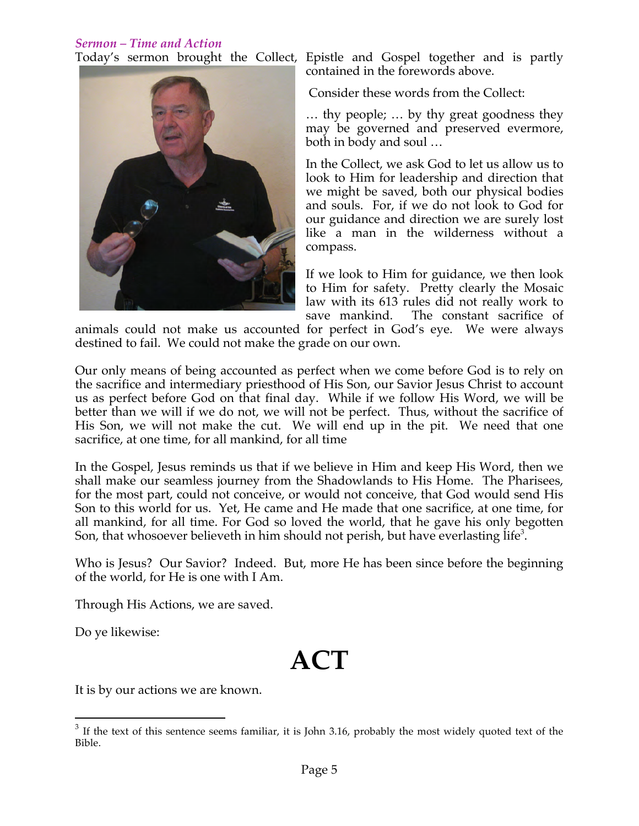# *Sermon – Time and Action*



Today's sermon brought the Collect, Epistle and Gospel together and is partly contained in the forewords above.

Consider these words from the Collect:

… thy people; … by thy great goodness they may be governed and preserved evermore, both in body and soul …

In the Collect, we ask God to let us allow us to look to Him for leadership and direction that we might be saved, both our physical bodies and souls. For, if we do not look to God for our guidance and direction we are surely lost like a man in the wilderness without a compass.

If we look to Him for guidance, we then look to Him for safety. Pretty clearly the Mosaic law with its 613 rules did not really work to save mankind. The constant sacrifice of

animals could not make us accounted for perfect in God's eye. We were always destined to fail. We could not make the grade on our own.

Our only means of being accounted as perfect when we come before God is to rely on the sacrifice and intermediary priesthood of His Son, our Savior Jesus Christ to account us as perfect before God on that final day. While if we follow His Word, we will be better than we will if we do not, we will not be perfect. Thus, without the sacrifice of His Son, we will not make the cut. We will end up in the pit. We need that one sacrifice, at one time, for all mankind, for all time

In the Gospel, Jesus reminds us that if we believe in Him and keep His Word, then we shall make our seamless journey from the Shadowlands to His Home. The Pharisees, for the most part, could not conceive, or would not conceive, that God would send His Son to this world for us. Yet, He came and He made that one sacrifice, at one time, for all mankind, for all time. For God so loved the world, that he gave his only begotten Son, that whosoever believeth in him should not perish, but have everlasting  ${\rm life^3.}$ 

Who is Jesus? Our Savior? Indeed. But, more He has been since before the beginning of the world, for He is one with I Am.

Through His Actions, we are saved.

Do ye likewise:

 $\overline{a}$ 

# **ACT**

It is by our actions we are known.

 $3$  If the text of this sentence seems familiar, it is John 3.16, probably the most widely quoted text of the Bible.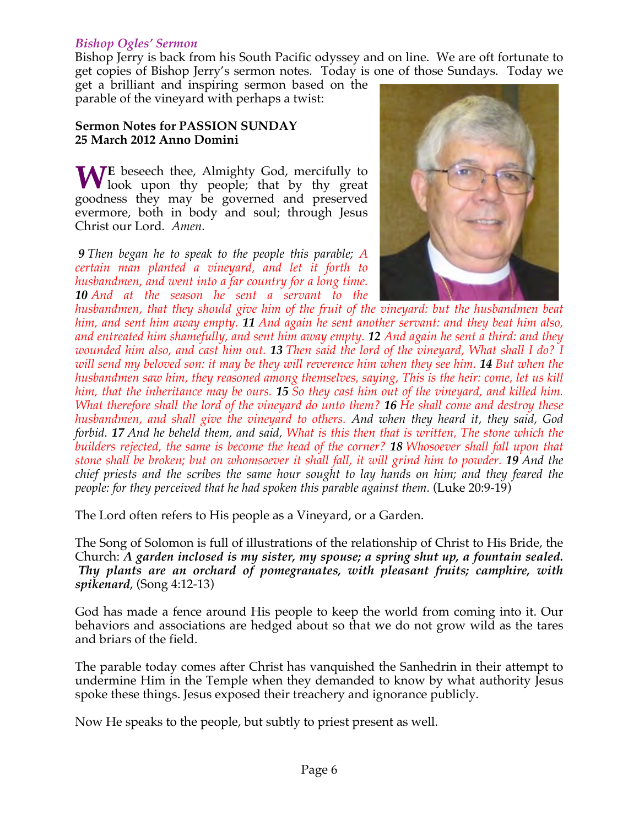## *Bishop Ogles' Sermon*

Bishop Jerry is back from his South Pacific odyssey and on line. We are oft fortunate to get copies of Bishop Jerry's sermon notes. Today is one of those Sundays. Today we

get a brilliant and inspiring sermon based on the parable of the vineyard with perhaps a twist:

#### **Sermon Notes for PASSION SUNDAY 25 March 2012 Anno Domini**

**EXAGE** beseech thee, Almighty God, mercifully to look upon thy people; that by thy great goodness they may be governed and preserved evermore, both in body and soul; through Jesus Christ our Lord*. Amen.*  **W**

*9 Then began he to speak to the people this parable; A certain man planted a vineyard, and let it forth to husbandmen, and went into a far country for a long time. 10 And at the season he sent a servant to the* 



*husbandmen, that they should give him of the fruit of the vineyard: but the husbandmen beat him, and sent him away empty. 11 And again he sent another servant: and they beat him also, and entreated him shamefully, and sent him away empty. 12 And again he sent a third: and they wounded him also, and cast him out. 13 Then said the lord of the vineyard, What shall I do? I will send my beloved son: it may be they will reverence him when they see him. 14 But when the husbandmen saw him, they reasoned among themselves, saying, This is the heir: come, let us kill him, that the inheritance may be ours. 15 So they cast him out of the vineyard, and killed him. What therefore shall the lord of the vineyard do unto them? 16 He shall come and destroy these husbandmen, and shall give the vineyard to others. And when they heard it, they said, God forbid. 17 And he beheld them, and said, What is this then that is written, The stone which the builders rejected, the same is become the head of the corner? 18 Whosoever shall fall upon that stone shall be broken; but on whomsoever it shall fall, it will grind him to powder. 19 And the chief priests and the scribes the same hour sought to lay hands on him; and they feared the people: for they perceived that he had spoken this parable against them.* (Luke 20:9-19)

The Lord often refers to His people as a Vineyard, or a Garden.

The Song of Solomon is full of illustrations of the relationship of Christ to His Bride, the Church: *A garden inclosed is my sister, my spouse; a spring shut up, a fountain sealed. Thy plants are an orchard of pomegranates, with pleasant fruits; camphire, with spikenard*, (Song 4:12-13)

God has made a fence around His people to keep the world from coming into it. Our behaviors and associations are hedged about so that we do not grow wild as the tares and briars of the field.

The parable today comes after Christ has vanquished the Sanhedrin in their attempt to undermine Him in the Temple when they demanded to know by what authority Jesus spoke these things. Jesus exposed their treachery and ignorance publicly.

Now He speaks to the people, but subtly to priest present as well.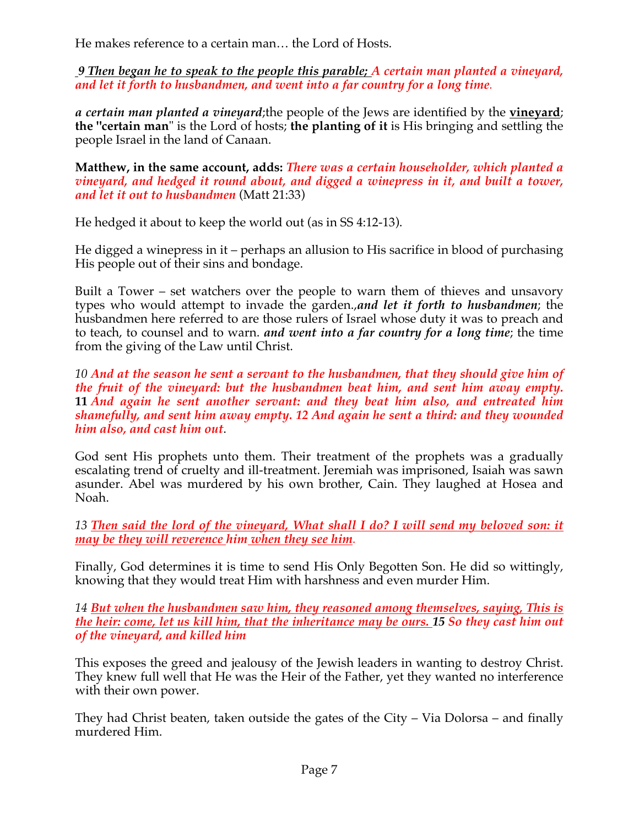He makes reference to a certain man… the Lord of Hosts.

*9 Then began he to speak to the people this parable; A certain man planted a vineyard, and let it forth to husbandmen, and went into a far country for a long time.*

*a certain man planted a vineyard*;the people of the Jews are identified by the **vineyard**; **the "certain man**" is the Lord of hosts; **the planting of it** is His bringing and settling the people Israel in the land of Canaan.

**Matthew, in the same account, adds:** *There was a certain householder, which planted a vineyard, and hedged it round about, and digged a winepress in it, and built a tower, and let it out to husbandmen* (Matt 21:33)

He hedged it about to keep the world out (as in SS 4:12-13).

He digged a winepress in it – perhaps an allusion to His sacrifice in blood of purchasing His people out of their sins and bondage.

Built a Tower – set watchers over the people to warn them of thieves and unsavory types who would attempt to invade the garden.,*and let it forth to husbandmen*; the husbandmen here referred to are those rulers of Israel whose duty it was to preach and to teach, to counsel and to warn. *and went into a far country for a long time*; the time from the giving of the Law until Christ.

*10 And at the season he sent a servant to the husbandmen, that they should give him of the fruit of the vineyard: but the husbandmen beat him, and sent him away empty.* **11** *And again he sent another servant: and they beat him also, and entreated him shamefully, and sent him away empty. 12 And again he sent a third: and they wounded him also, and cast him out*.

God sent His prophets unto them. Their treatment of the prophets was a gradually escalating trend of cruelty and ill-treatment. Jeremiah was imprisoned, Isaiah was sawn asunder. Abel was murdered by his own brother, Cain. They laughed at Hosea and Noah.

*13 Then said the lord of the vineyard, What shall I do? I will send my beloved son: it may be they will reverence him when they see him.*

Finally, God determines it is time to send His Only Begotten Son. He did so wittingly, knowing that they would treat Him with harshness and even murder Him.

*14 But when the husbandmen saw him, they reasoned among themselves, saying, This is the heir: come, let us kill him, that the inheritance may be ours. 15 So they cast him out of the vineyard, and killed him*

This exposes the greed and jealousy of the Jewish leaders in wanting to destroy Christ. They knew full well that He was the Heir of the Father, yet they wanted no interference with their own power.

They had Christ beaten, taken outside the gates of the City – Via Dolorsa – and finally murdered Him.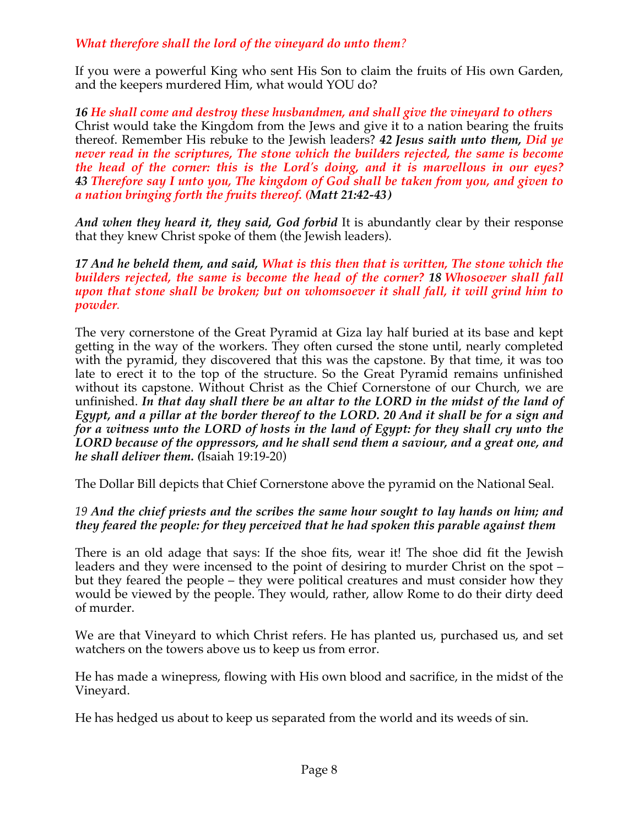## *What therefore shall the lord of the vineyard do unto them?*

If you were a powerful King who sent His Son to claim the fruits of His own Garden, and the keepers murdered Him, what would YOU do?

*16 He shall come and destroy these husbandmen, and shall give the vineyard to others* Christ would take the Kingdom from the Jews and give it to a nation bearing the fruits thereof. Remember His rebuke to the Jewish leaders? *42 Jesus saith unto them, Did ye never read in the scriptures, The stone which the builders rejected, the same is become the head of the corner: this is the Lord's doing, and it is marvellous in our eyes? 43 Therefore say I unto you, The kingdom of God shall be taken from you, and given to a nation bringing forth the fruits thereof. (Matt 21:42-43)*

*And when they heard it, they said, God forbid* It is abundantly clear by their response that they knew Christ spoke of them (the Jewish leaders).

*17 And he beheld them, and said, What is this then that is written, The stone which the builders rejected, the same is become the head of the corner? 18 Whosoever shall fall upon that stone shall be broken; but on whomsoever it shall fall, it will grind him to powder.*

The very cornerstone of the Great Pyramid at Giza lay half buried at its base and kept getting in the way of the workers. They often cursed the stone until, nearly completed with the pyramid, they discovered that this was the capstone. By that time, it was too late to erect it to the top of the structure. So the Great Pyramid remains unfinished without its capstone. Without Christ as the Chief Cornerstone of our Church, we are unfinished. *In that day shall there be an altar to the LORD in the midst of the land of Egypt, and a pillar at the border thereof to the LORD. 20 And it shall be for a sign and for a witness unto the LORD of hosts in the land of Egypt: for they shall cry unto the LORD because of the oppressors, and he shall send them a saviour, and a great one, and he shall deliver them. (*Isaiah 19:19-20)

The Dollar Bill depicts that Chief Cornerstone above the pyramid on the National Seal.

## *19 And the chief priests and the scribes the same hour sought to lay hands on him; and they feared the people: for they perceived that he had spoken this parable against them*

There is an old adage that says: If the shoe fits, wear it! The shoe did fit the Jewish leaders and they were incensed to the point of desiring to murder Christ on the spot – but they feared the people – they were political creatures and must consider how they would be viewed by the people. They would, rather, allow Rome to do their dirty deed of murder.

We are that Vineyard to which Christ refers. He has planted us, purchased us, and set watchers on the towers above us to keep us from error.

He has made a winepress, flowing with His own blood and sacrifice, in the midst of the Vineyard.

He has hedged us about to keep us separated from the world and its weeds of sin.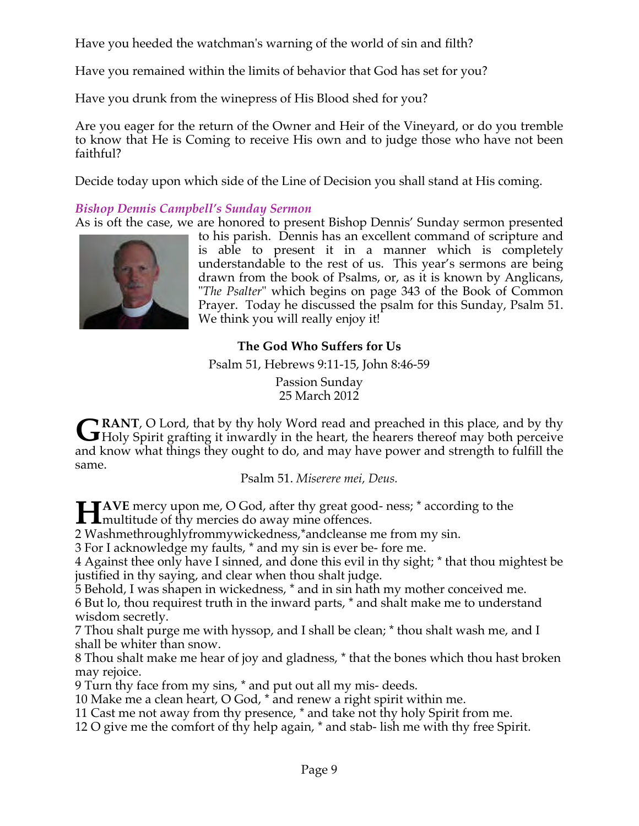Have you heeded the watchman's warning of the world of sin and filth?

Have you remained within the limits of behavior that God has set for you?

Have you drunk from the winepress of His Blood shed for you?

Are you eager for the return of the Owner and Heir of the Vineyard, or do you tremble to know that He is Coming to receive His own and to judge those who have not been faithful?

Decide today upon which side of the Line of Decision you shall stand at His coming.

# *Bishop Dennis Campbell's Sunday Sermon*

As is oft the case, we are honored to present Bishop Dennis' Sunday sermon presented



to his parish. Dennis has an excellent command of scripture and is able to present it in a manner which is completely understandable to the rest of us. This year's sermons are being drawn from the book of Psalms, or, as it is known by Anglicans, "*The Psalter*" which begins on page 343 of the Book of Common Prayer. Today he discussed the psalm for this Sunday, Psalm 51. We think you will really enjoy it!

# **The God Who Suffers for Us**

Psalm 51, Hebrews 9:11-15, John 8:46-59

Passion Sunday 25 March 2012

**RANT**, O Lord, that by thy holy Word read and preached in this place, and by thy GRANT, O Lord, that by thy holy Word read and preached in this place, and by thy Holy Spirit grafting it inwardly in the heart, the hearers thereof may both perceive and know what things they ought to do, and may have power and strength to fulfill the same.

Psalm 51. *Miserere mei, Deus.*

**TAVE** mercy upon me, O God, after thy great good-ness;  $*$  according to the **HAVE** mercy upon me, O God, after thy great good multitude of thy mercies do away mine offences.

2 Washmethroughlyfrommywickedness,\*andcleanse me from my sin.

3 For I acknowledge my faults, \* and my sin is ever be- fore me.

4 Against thee only have I sinned, and done this evil in thy sight; \* that thou mightest be justified in thy saying, and clear when thou shalt judge.

5 Behold, I was shapen in wickedness, \* and in sin hath my mother conceived me.

6 But lo, thou requirest truth in the inward parts, \* and shalt make me to understand wisdom secretly.

7 Thou shalt purge me with hyssop, and I shall be clean; \* thou shalt wash me, and I shall be whiter than snow.

8 Thou shalt make me hear of joy and gladness, \* that the bones which thou hast broken may rejoice.

9 Turn thy face from my sins, \* and put out all my mis- deeds.

10 Make me a clean heart, O God, \* and renew a right spirit within me.

11 Cast me not away from thy presence, \* and take not thy holy Spirit from me.

12 O give me the comfort of thy help again, \* and stab- lish me with thy free Spirit.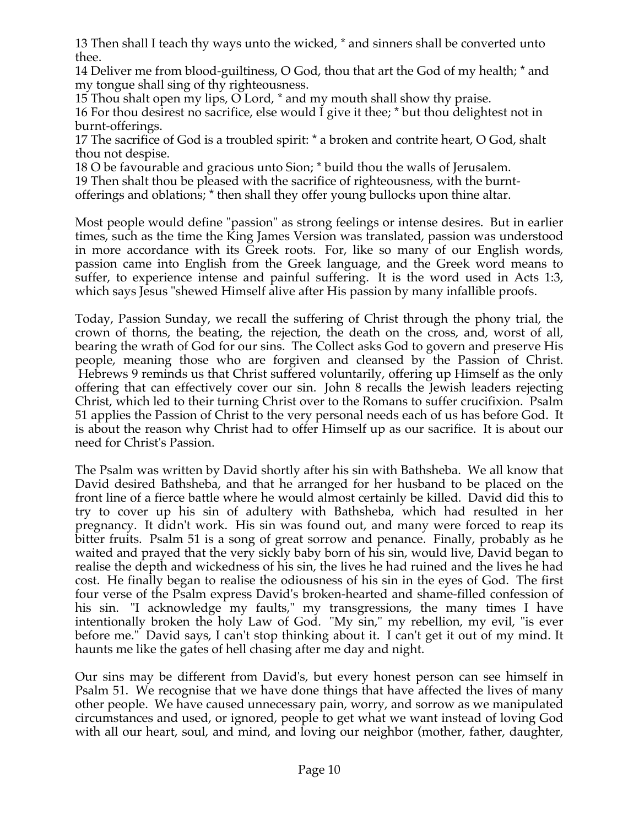13 Then shall I teach thy ways unto the wicked, \* and sinners shall be converted unto thee.

14 Deliver me from blood-guiltiness, O God, thou that art the God of my health; \* and my tongue shall sing of thy righteousness.

15 Thou shalt open my lips, O Lord, \* and my mouth shall show thy praise.

16 For thou desirest no sacrifice, else would I give it thee; \* but thou delightest not in burnt-offerings.

17 The sacrifice of God is a troubled spirit: \* a broken and contrite heart, O God, shalt thou not despise.

18 O be favourable and gracious unto Sion; \* build thou the walls of Jerusalem.

19 Then shalt thou be pleased with the sacrifice of righteousness, with the burnt-

offerings and oblations; \* then shall they offer young bullocks upon thine altar.

Most people would define "passion" as strong feelings or intense desires. But in earlier times, such as the time the King James Version was translated, passion was understood in more accordance with its Greek roots. For, like so many of our English words, passion came into English from the Greek language, and the Greek word means to suffer, to experience intense and painful suffering. It is the word used in Acts 1:3, which says Jesus "shewed Himself alive after His passion by many infallible proofs.

Today, Passion Sunday, we recall the suffering of Christ through the phony trial, the crown of thorns, the beating, the rejection, the death on the cross, and, worst of all, bearing the wrath of God for our sins. The Collect asks God to govern and preserve His people, meaning those who are forgiven and cleansed by the Passion of Christ. Hebrews 9 reminds us that Christ suffered voluntarily, offering up Himself as the only offering that can effectively cover our sin. John 8 recalls the Jewish leaders rejecting Christ, which led to their turning Christ over to the Romans to suffer crucifixion. Psalm 51 applies the Passion of Christ to the very personal needs each of us has before God. It is about the reason why Christ had to offer Himself up as our sacrifice. It is about our need for Christ's Passion.

The Psalm was written by David shortly after his sin with Bathsheba. We all know that David desired Bathsheba, and that he arranged for her husband to be placed on the front line of a fierce battle where he would almost certainly be killed. David did this to try to cover up his sin of adultery with Bathsheba, which had resulted in her pregnancy. It didn't work. His sin was found out, and many were forced to reap its bitter fruits. Psalm 51 is a song of great sorrow and penance. Finally, probably as he waited and prayed that the very sickly baby born of his sin, would live, David began to realise the depth and wickedness of his sin, the lives he had ruined and the lives he had cost. He finally began to realise the odiousness of his sin in the eyes of God. The first four verse of the Psalm express David's broken-hearted and shame-filled confession of his sin. "I acknowledge my faults," my transgressions, the many times I have intentionally broken the holy Law of God. "My sin," my rebellion, my evil, "is ever before me." David says, I can't stop thinking about it. I can't get it out of my mind. It haunts me like the gates of hell chasing after me day and night.

Our sins may be different from David's, but every honest person can see himself in Psalm 51. We recognise that we have done things that have affected the lives of many other people. We have caused unnecessary pain, worry, and sorrow as we manipulated circumstances and used, or ignored, people to get what we want instead of loving God with all our heart, soul, and mind, and loving our neighbor (mother, father, daughter,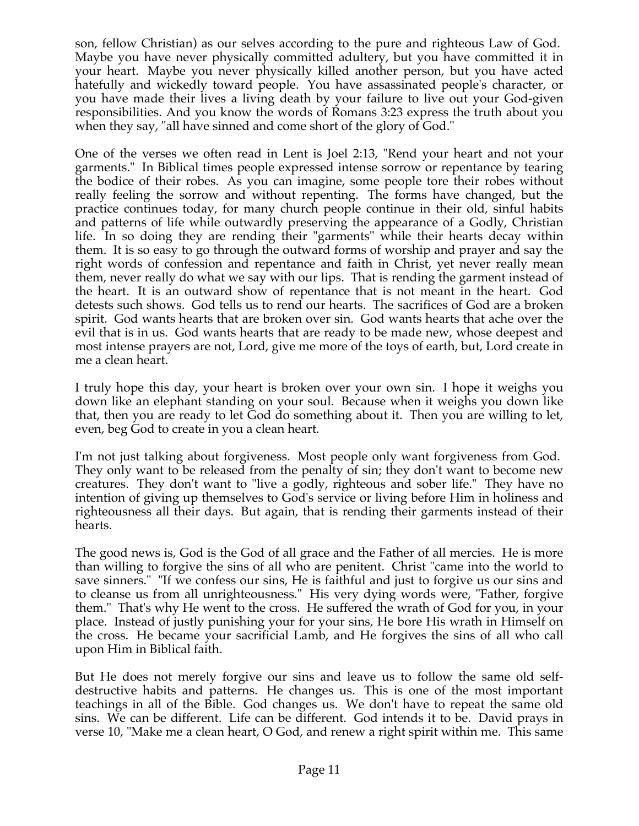son, fellow Christian) as our selves according to the pure and righteous Law of God. Maybe you have never physically committed adultery, but you have committed it in your heart. Maybe you never physically killed another person, but you have acted hatefully and wickedly toward people. You have assassinated people's character, or you have made their lives a living death by your failure to live out your God-given responsibilities. And you know the words of Romans 3:23 express the truth about you when they say, "all have sinned and come short of the glory of God."

One of the verses we often read in Lent is Joel 2:13, "Rend your heart and not your garments." In Biblical times people expressed intense sorrow or repentance by tearing the bodice of their robes. As you can imagine, some people tore their robes without really feeling the sorrow and without repenting. The forms have changed, but the practice continues today, for many church people continue in their old, sinful habits and patterns of life while outwardly preserving the appearance of a Godly, Christian life. In so doing they are rending their "garments" while their hearts decay within them. It is so easy to go through the outward forms of worship and prayer and say the right words of confession and repentance and faith in Christ, yet never really mean them, never really do what we say with our lips. That is rending the garment instead of the heart. It is an outward show of repentance that is not meant in the heart. God detests such shows. God tells us to rend our hearts. The sacrifices of God are a broken spirit. God wants hearts that are broken over sin. God wants hearts that ache over the evil that is in us. God wants hearts that are ready to be made new, whose deepest and most intense prayers are not, Lord, give me more of the toys of earth, but, Lord create in me a clean heart.

I truly hope this day, your heart is broken over your own sin. I hope it weighs you down like an elephant standing on your soul. Because when it weighs you down like that, then you are ready to let God do something about it. Then you are willing to let, even, beg God to create in you a clean heart.

I'm not just talking about forgiveness. Most people only want forgiveness from God. They only want to be released from the penalty of sin; they don't want to become new creatures. They don't want to "live a godly, righteous and sober life." They have no intention of giving up themselves to God's service or living before Him in holiness and righteousness all their days. But again, that is rending their garments instead of their hearts.

The good news is, God is the God of all grace and the Father of all mercies. He is more than willing to forgive the sins of all who are penitent. Christ "came into the world to save sinners." "If we confess our sins, He is faithful and just to forgive us our sins and to cleanse us from all unrighteousness." His very dying words were, "Father, forgive them." That's why He went to the cross. He suffered the wrath of God for you, in your place. Instead of justly punishing your for your sins, He bore His wrath in Himself on the cross. He became your sacrificial Lamb, and He forgives the sins of all who call upon Him in Biblical faith.

But He does not merely forgive our sins and leave us to follow the same old selfdestructive habits and patterns. He changes us. This is one of the most important teachings in all of the Bible. God changes us. We don't have to repeat the same old sins. We can be different. Life can be different. God intends it to be. David prays in verse 10, "Make me a clean heart, O God, and renew a right spirit within me. This same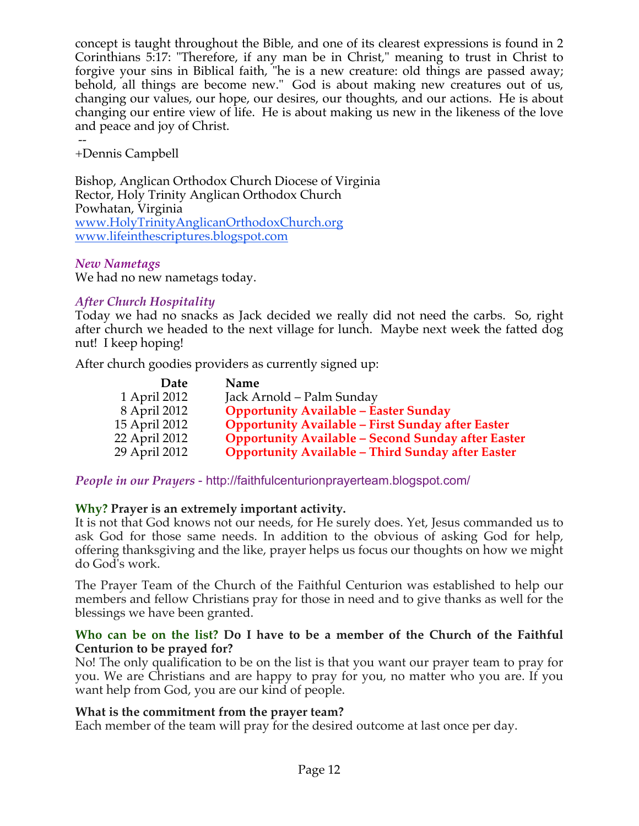concept is taught throughout the Bible, and one of its clearest expressions is found in 2 Corinthians 5:17: "Therefore, if any man be in Christ," meaning to trust in Christ to forgive your sins in Biblical faith, "he is a new creature: old things are passed away; behold, all things are become new." God is about making new creatures out of us, changing our values, our hope, our desires, our thoughts, and our actions. He is about changing our entire view of life. He is about making us new in the likeness of the love and peace and joy of Christ.

 -- +Dennis Campbell

Bishop, Anglican Orthodox Church Diocese of Virginia Rector, Holy Trinity Anglican Orthodox Church Powhatan, Virginia www.HolyTrinityAnglicanOrthodoxChurch.org www.lifeinthescriptures.blogspot.com

*New Nametags* We had no new nametags today.

## *After Church Hospitality*

Today we had no snacks as Jack decided we really did not need the carbs. So, right after church we headed to the next village for lunch. Maybe next week the fatted dog nut! I keep hoping!

After church goodies providers as currently signed up:

| Name                                                      |
|-----------------------------------------------------------|
| Jack Arnold - Palm Sunday                                 |
| <b>Opportunity Available - Easter Sunday</b>              |
| <b>Opportunity Available - First Sunday after Easter</b>  |
| <b>Opportunity Available - Second Sunday after Easter</b> |
| <b>Opportunity Available - Third Sunday after Easter</b>  |
|                                                           |

*People in our Prayers* - http://faithfulcenturionprayerteam.blogspot.com/

## **Why? Prayer is an extremely important activity.**

It is not that God knows not our needs, for He surely does. Yet, Jesus commanded us to ask God for those same needs. In addition to the obvious of asking God for help, offering thanksgiving and the like, prayer helps us focus our thoughts on how we might do God's work.

The Prayer Team of the Church of the Faithful Centurion was established to help our members and fellow Christians pray for those in need and to give thanks as well for the blessings we have been granted.

## **Who can be on the list? Do I have to be a member of the Church of the Faithful Centurion to be prayed for?**

No! The only qualification to be on the list is that you want our prayer team to pray for you. We are Christians and are happy to pray for you, no matter who you are. If you want help from God, you are our kind of people.

## **What is the commitment from the prayer team?**

Each member of the team will pray for the desired outcome at last once per day.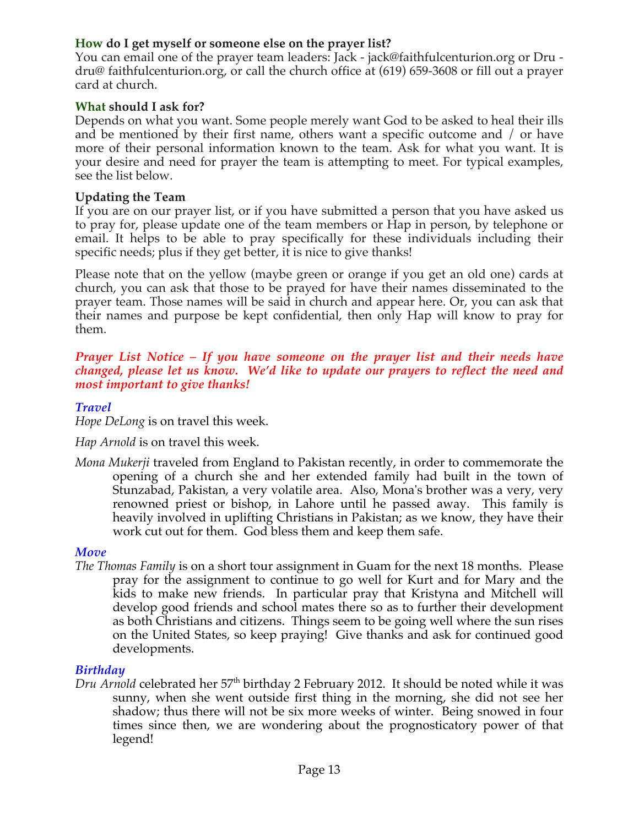## **How do I get myself or someone else on the prayer list?**

You can email one of the prayer team leaders: Jack - jack@faithfulcenturion.org or Dru dru@ faithfulcenturion.org, or call the church office at (619) 659-3608 or fill out a prayer card at church.

## **What should I ask for?**

Depends on what you want. Some people merely want God to be asked to heal their ills and be mentioned by their first name, others want a specific outcome and / or have more of their personal information known to the team. Ask for what you want. It is your desire and need for prayer the team is attempting to meet. For typical examples, see the list below.

#### **Updating the Team**

If you are on our prayer list, or if you have submitted a person that you have asked us to pray for, please update one of the team members or Hap in person, by telephone or email. It helps to be able to pray specifically for these individuals including their specific needs; plus if they get better, it is nice to give thanks!

Please note that on the yellow (maybe green or orange if you get an old one) cards at church, you can ask that those to be prayed for have their names disseminated to the prayer team. Those names will be said in church and appear here. Or, you can ask that their names and purpose be kept confidential, then only Hap will know to pray for them.

## *Prayer List Notice – If you have someone on the prayer list and their needs have changed, please let us know. We'd like to update our prayers to reflect the need and most important to give thanks!*

## *Travel*

*Hope DeLong* is on travel this week.

*Hap Arnold* is on travel this week.

*Mona Mukerji* traveled from England to Pakistan recently, in order to commemorate the opening of a church she and her extended family had built in the town of Stunzabad, Pakistan, a very volatile area. Also, Mona's brother was a very, very renowned priest or bishop, in Lahore until he passed away. This family is heavily involved in uplifting Christians in Pakistan; as we know, they have their work cut out for them. God bless them and keep them safe.

#### *Move*

*The Thomas Family* is on a short tour assignment in Guam for the next 18 months. Please pray for the assignment to continue to go well for Kurt and for Mary and the kids to make new friends. In particular pray that Kristyna and Mitchell will develop good friends and school mates there so as to further their development as both Christians and citizens. Things seem to be going well where the sun rises on the United States, so keep praying! Give thanks and ask for continued good developments.

#### *Birthday*

*Dru Arnold* celebrated her 57<sup>th</sup> birthday 2 February 2012. It should be noted while it was sunny, when she went outside first thing in the morning, she did not see her shadow; thus there will not be six more weeks of winter. Being snowed in four times since then, we are wondering about the prognosticatory power of that legend!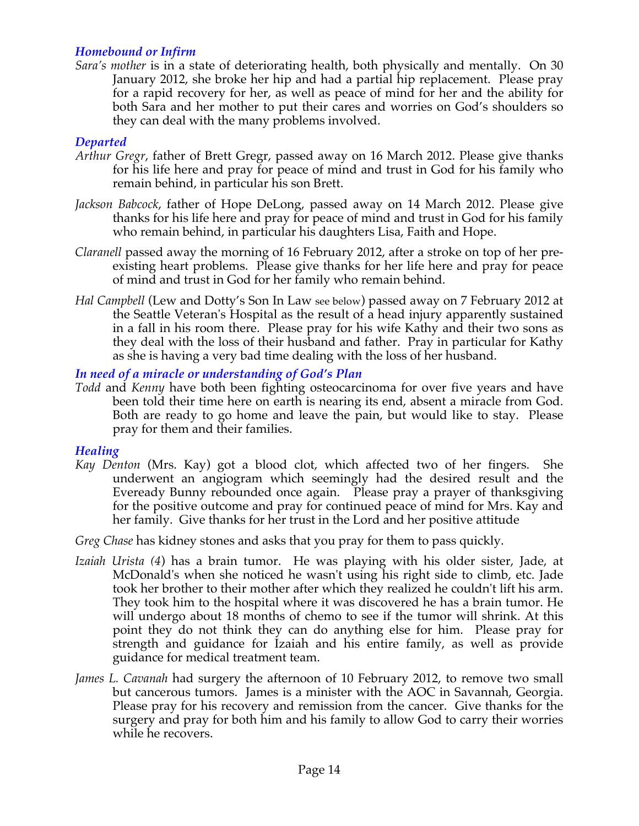## *Homebound or Infirm*

*Sara's mother* is in a state of deteriorating health, both physically and mentally. On 30 January 2012, she broke her hip and had a partial hip replacement. Please pray for a rapid recovery for her, as well as peace of mind for her and the ability for both Sara and her mother to put their cares and worries on God's shoulders so they can deal with the many problems involved.

## *Departed*

- *Arthur Gregr*, father of Brett Gregr, passed away on 16 March 2012. Please give thanks for his life here and pray for peace of mind and trust in God for his family who remain behind, in particular his son Brett.
- *Jackson Babcock*, father of Hope DeLong, passed away on 14 March 2012. Please give thanks for his life here and pray for peace of mind and trust in God for his family who remain behind, in particular his daughters Lisa, Faith and Hope.
- *Claranell* passed away the morning of 16 February 2012, after a stroke on top of her preexisting heart problems. Please give thanks for her life here and pray for peace of mind and trust in God for her family who remain behind.
- *Hal Campbell* (Lew and Dotty's Son In Law see below) passed away on 7 February 2012 at the Seattle Veteran's Hospital as the result of a head injury apparently sustained in a fall in his room there. Please pray for his wife Kathy and their two sons as they deal with the loss of their husband and father. Pray in particular for Kathy as she is having a very bad time dealing with the loss of her husband.

## *In need of a miracle or understanding of God's Plan*

*Todd* and *Kenny* have both been fighting osteocarcinoma for over five years and have been told their time here on earth is nearing its end, absent a miracle from God. Both are ready to go home and leave the pain, but would like to stay. Please pray for them and their families.

## *Healing*

*Kay Denton* (Mrs. Kay) got a blood clot, which affected two of her fingers. She underwent an angiogram which seemingly had the desired result and the Eveready Bunny rebounded once again. Please pray a prayer of thanksgiving for the positive outcome and pray for continued peace of mind for Mrs. Kay and her family. Give thanks for her trust in the Lord and her positive attitude.

*Greg Chase* has kidney stones and asks that you pray for them to pass quickly.

- *Izaiah Urista (4*) has a brain tumor. He was playing with his older sister, Jade, at McDonald's when she noticed he wasn't using his right side to climb, etc. Jade took her brother to their mother after which they realized he couldn't lift his arm. They took him to the hospital where it was discovered he has a brain tumor. He will undergo about 18 months of chemo to see if the tumor will shrink. At this point they do not think they can do anything else for him. Please pray for strength and guidance for Izaiah and his entire family, as well as provide guidance for medical treatment team.
- *James L. Cavanah* had surgery the afternoon of 10 February 2012, to remove two small but cancerous tumors. James is a minister with the AOC in Savannah, Georgia. Please pray for his recovery and remission from the cancer. Give thanks for the surgery and pray for both him and his family to allow God to carry their worries while he recovers.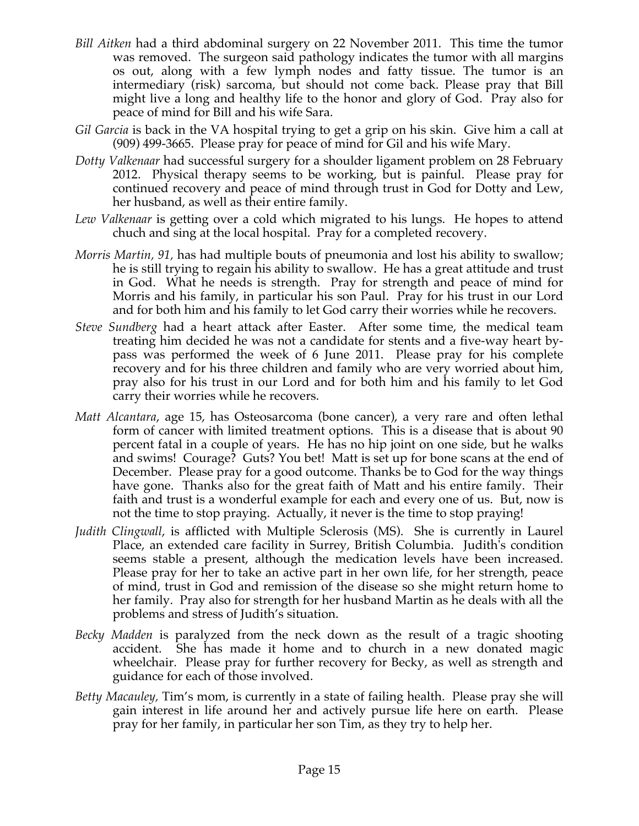- *Bill Aitken* had a third abdominal surgery on 22 November 2011. This time the tumor was removed. The surgeon said pathology indicates the tumor with all margins os out, along with a few lymph nodes and fatty tissue. The tumor is an intermediary (risk) sarcoma, but should not come back. Please pray that Bill might live a long and healthy life to the honor and glory of God. Pray also for peace of mind for Bill and his wife Sara.
- *Gil Garcia* is back in the VA hospital trying to get a grip on his skin. Give him a call at (909) 499-3665. Please pray for peace of mind for Gil and his wife Mary.
- *Dotty Valkenaar* had successful surgery for a shoulder ligament problem on 28 February 2012. Physical therapy seems to be working, but is painful. Please pray for continued recovery and peace of mind through trust in God for Dotty and Lew, her husband, as well as their entire family.
- *Lew Valkenaar* is getting over a cold which migrated to his lungs. He hopes to attend chuch and sing at the local hospital. Pray for a completed recovery.
- *Morris Martin, 91,* has had multiple bouts of pneumonia and lost his ability to swallow; he is still trying to regain his ability to swallow. He has a great attitude and trust in God. What he needs is strength. Pray for strength and peace of mind for Morris and his family, in particular his son Paul. Pray for his trust in our Lord and for both him and his family to let God carry their worries while he recovers.
- *Steve Sundberg* had a heart attack after Easter. After some time, the medical team treating him decided he was not a candidate for stents and a five-way heart bypass was performed the week of 6 June 2011. Please pray for his complete recovery and for his three children and family who are very worried about him, pray also for his trust in our Lord and for both him and his family to let God carry their worries while he recovers.
- *Matt Alcantara*, age 15, has Osteosarcoma (bone cancer), a very rare and often lethal form of cancer with limited treatment options. This is a disease that is about 90 percent fatal in a couple of years. He has no hip joint on one side, but he walks and swims! Courage? Guts? You bet! Matt is set up for bone scans at the end of December. Please pray for a good outcome. Thanks be to God for the way things have gone. Thanks also for the great faith of Matt and his entire family. Their faith and trust is a wonderful example for each and every one of us. But, now is not the time to stop praying. Actually, it never is the time to stop praying!
- *Judith Clingwall*, is afflicted with Multiple Sclerosis (MS). She is currently in Laurel Place, an extended care facility in Surrey, British Columbia. Judith's condition seems stable a present, although the medication levels have been increased. Please pray for her to take an active part in her own life, for her strength, peace of mind, trust in God and remission of the disease so she might return home to her family. Pray also for strength for her husband Martin as he deals with all the problems and stress of Judith's situation.
- *Becky Madden* is paralyzed from the neck down as the result of a tragic shooting accident. She has made it home and to church in a new donated magic wheelchair. Please pray for further recovery for Becky, as well as strength and guidance for each of those involved.
- *Betty Macauley,* Tim's mom, is currently in a state of failing health. Please pray she will gain interest in life around her and actively pursue life here on earth. Please pray for her family, in particular her son Tim, as they try to help her.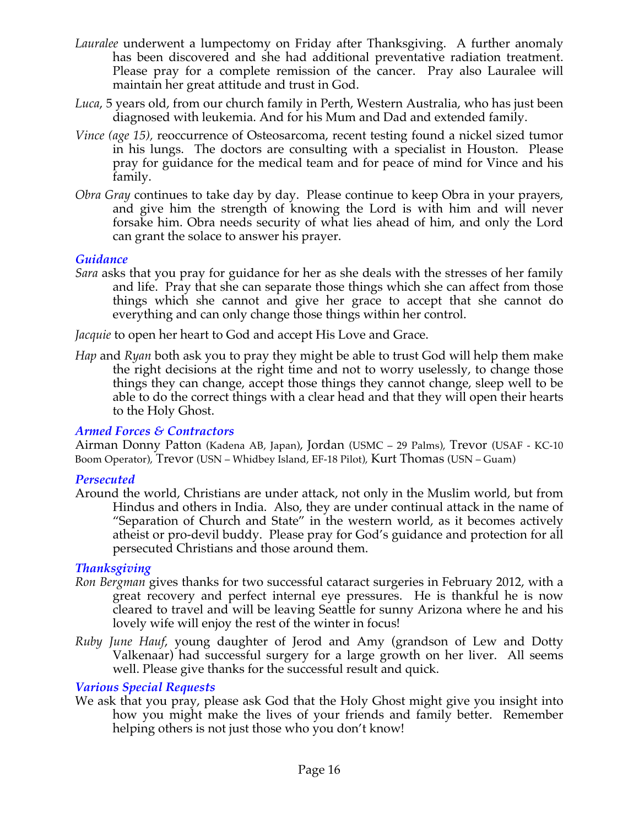- *Lauralee* underwent a lumpectomy on Friday after Thanksgiving. A further anomaly has been discovered and she had additional preventative radiation treatment. Please pray for a complete remission of the cancer. Pray also Lauralee will maintain her great attitude and trust in God.
- *Luca*, 5 years old, from our church family in Perth, Western Australia, who has just been diagnosed with leukemia. And for his Mum and Dad and extended family.
- *Vince (age 15),* reoccurrence of Osteosarcoma, recent testing found a nickel sized tumor in his lungs. The doctors are consulting with a specialist in Houston. Please pray for guidance for the medical team and for peace of mind for Vince and his family.
- *Obra Gray* continues to take day by day. Please continue to keep Obra in your prayers, and give him the strength of knowing the Lord is with him and will never forsake him. Obra needs security of what lies ahead of him, and only the Lord can grant the solace to answer his prayer.

#### *Guidance*

*Sara* asks that you pray for guidance for her as she deals with the stresses of her family and life. Pray that she can separate those things which she can affect from those things which she cannot and give her grace to accept that she cannot do everything and can only change those things within her control.

*Jacquie* to open her heart to God and accept His Love and Grace.

*Hap* and *Ryan* both ask you to pray they might be able to trust God will help them make the right decisions at the right time and not to worry uselessly, to change those things they can change, accept those things they cannot change, sleep well to be able to do the correct things with a clear head and that they will open their hearts to the Holy Ghost.

## *Armed Forces & Contractors*

Airman Donny Patton (Kadena AB, Japan), Jordan (USMC – 29 Palms), Trevor (USAF - KC-10 Boom Operator), Trevor (USN – Whidbey Island, EF-18 Pilot), Kurt Thomas (USN – Guam)

## *Persecuted*

Around the world, Christians are under attack, not only in the Muslim world, but from Hindus and others in India. Also, they are under continual attack in the name of "Separation of Church and State" in the western world, as it becomes actively atheist or pro-devil buddy. Please pray for God's guidance and protection for all persecuted Christians and those around them.

## *Thanksgiving*

- *Ron Bergman* gives thanks for two successful cataract surgeries in February 2012, with a great recovery and perfect internal eye pressures. He is thankful he is now cleared to travel and will be leaving Seattle for sunny Arizona where he and his lovely wife will enjoy the rest of the winter in focus!
- *Ruby June Hauf*, young daughter of Jerod and Amy (grandson of Lew and Dotty Valkenaar) had successful surgery for a large growth on her liver. All seems well. Please give thanks for the successful result and quick.

## *Various Special Requests*

We ask that you pray, please ask God that the Holy Ghost might give you insight into how you might make the lives of your friends and family better. Remember helping others is not just those who you don't know!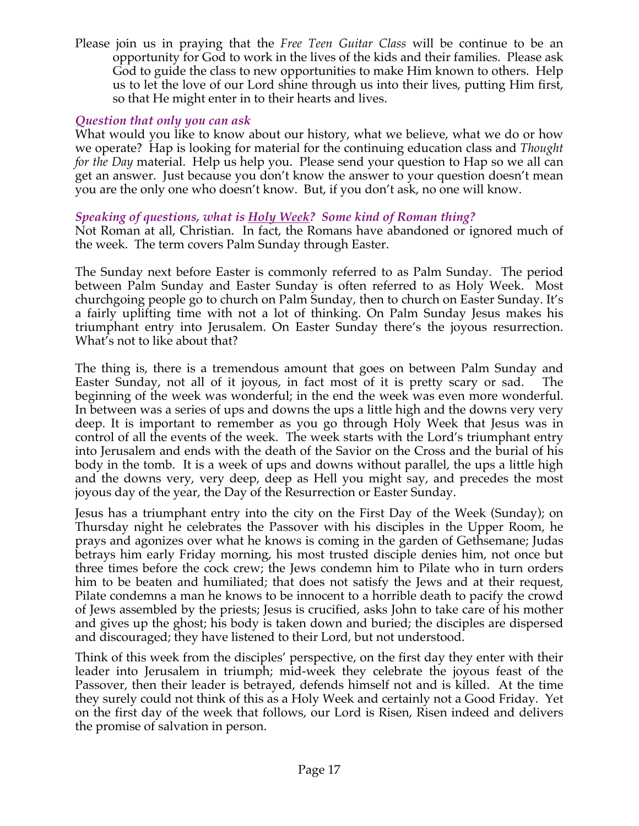Please join us in praying that the *Free Teen Guitar Class* will be continue to be an opportunity for God to work in the lives of the kids and their families. Please ask God to guide the class to new opportunities to make Him known to others. Help us to let the love of our Lord shine through us into their lives, putting Him first, so that He might enter in to their hearts and lives.

## *Question that only you can ask*

What would you like to know about our history, what we believe, what we do or how we operate? Hap is looking for material for the continuing education class and *Thought for the Day* material. Help us help you. Please send your question to Hap so we all can get an answer. Just because you don't know the answer to your question doesn't mean you are the only one who doesn't know. But, if you don't ask, no one will know.

## *Speaking of questions, what is Holy Week? Some kind of Roman thing?*

Not Roman at all, Christian. In fact, the Romans have abandoned or ignored much of the week. The term covers Palm Sunday through Easter.

The Sunday next before Easter is commonly referred to as Palm Sunday. The period between Palm Sunday and Easter Sunday is often referred to as Holy Week. Most churchgoing people go to church on Palm Sunday, then to church on Easter Sunday. It's a fairly uplifting time with not a lot of thinking. On Palm Sunday Jesus makes his triumphant entry into Jerusalem. On Easter Sunday there's the joyous resurrection. What's not to like about that?

The thing is, there is a tremendous amount that goes on between Palm Sunday and Easter Sunday, not all of it joyous, in fact most of it is pretty scary or sad. The beginning of the week was wonderful; in the end the week was even more wonderful. In between was a series of ups and downs the ups a little high and the downs very very deep. It is important to remember as you go through Holy Week that Jesus was in control of all the events of the week. The week starts with the Lord's triumphant entry into Jerusalem and ends with the death of the Savior on the Cross and the burial of his body in the tomb. It is a week of ups and downs without parallel, the ups a little high and the downs very, very deep, deep as Hell you might say, and precedes the most joyous day of the year, the Day of the Resurrection or Easter Sunday.

Jesus has a triumphant entry into the city on the First Day of the Week (Sunday); on Thursday night he celebrates the Passover with his disciples in the Upper Room, he prays and agonizes over what he knows is coming in the garden of Gethsemane; Judas betrays him early Friday morning, his most trusted disciple denies him, not once but three times before the cock crew; the Jews condemn him to Pilate who in turn orders him to be beaten and humiliated; that does not satisfy the Jews and at their request, Pilate condemns a man he knows to be innocent to a horrible death to pacify the crowd of Jews assembled by the priests; Jesus is crucified, asks John to take care of his mother and gives up the ghost; his body is taken down and buried; the disciples are dispersed and discouraged; they have listened to their Lord, but not understood.

Think of this week from the disciples' perspective, on the first day they enter with their leader into Jerusalem in triumph; mid-week they celebrate the joyous feast of the Passover, then their leader is betrayed, defends himself not and is killed. At the time they surely could not think of this as a Holy Week and certainly not a Good Friday. Yet on the first day of the week that follows, our Lord is Risen, Risen indeed and delivers the promise of salvation in person.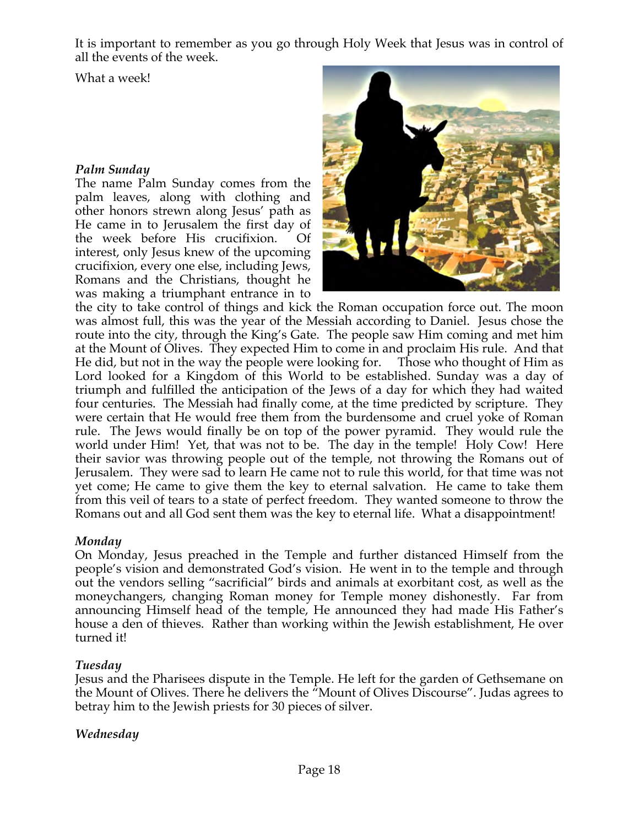It is important to remember as you go through Holy Week that Jesus was in control of all the events of the week.

What a week!

#### *Palm Sunday*

The name Palm Sunday comes from the palm leaves, along with clothing and other honors strewn along Jesus' path as He came in to Jerusalem the first day of the week before His crucifixion. Of interest, only Jesus knew of the upcoming crucifixion, every one else, including Jews, Romans and the Christians, thought he was making a triumphant entrance in to



the city to take control of things and kick the Roman occupation force out. The moon was almost full, this was the year of the Messiah according to Daniel. Jesus chose the route into the city, through the King's Gate. The people saw Him coming and met him at the Mount of Olives. They expected Him to come in and proclaim His rule. And that He did, but not in the way the people were looking for. Those who thought of Him as Lord looked for a Kingdom of this World to be established. Sunday was a day of triumph and fulfilled the anticipation of the Jews of a day for which they had waited four centuries. The Messiah had finally come, at the time predicted by scripture. They were certain that He would free them from the burdensome and cruel yoke of Roman rule. The Jews would finally be on top of the power pyramid. They would rule the world under Him! Yet, that was not to be. The day in the temple! Holy Cow! Here their savior was throwing people out of the temple, not throwing the Romans out of Jerusalem. They were sad to learn He came not to rule this world, for that time was not yet come; He came to give them the key to eternal salvation. He came to take them from this veil of tears to a state of perfect freedom. They wanted someone to throw the Romans out and all God sent them was the key to eternal life. What a disappointment!

## *Monday*

On Monday, Jesus preached in the Temple and further distanced Himself from the people's vision and demonstrated God's vision. He went in to the temple and through out the vendors selling "sacrificial" birds and animals at exorbitant cost, as well as the moneychangers, changing Roman money for Temple money dishonestly. Far from announcing Himself head of the temple, He announced they had made His Father's house a den of thieves. Rather than working within the Jewish establishment, He over turned it!

## *Tuesday*

Jesus and the Pharisees dispute in the Temple. He left for the garden of Gethsemane on the Mount of Olives. There he delivers the "Mount of Olives Discourse". Judas agrees to betray him to the Jewish priests for 30 pieces of silver.

## *Wednesday*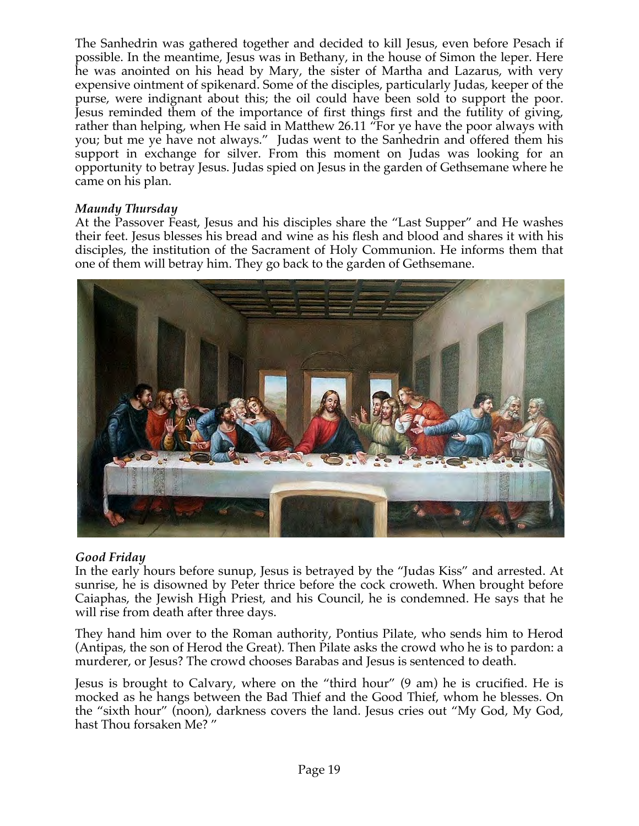The Sanhedrin was gathered together and decided to kill Jesus, even before Pesach if possible. In the meantime, Jesus was in Bethany, in the house of Simon the leper. Here he was anointed on his head by Mary, the sister of Martha and Lazarus, with very expensive ointment of spikenard. Some of the disciples, particularly Judas, keeper of the purse, were indignant about this; the oil could have been sold to support the poor. Jesus reminded them of the importance of first things first and the futility of giving, rather than helping, when He said in Matthew 26.11 "For ye have the poor always with you; but me ye have not always." Judas went to the Sanhedrin and offered them his support in exchange for silver. From this moment on Judas was looking for an opportunity to betray Jesus. Judas spied on Jesus in the garden of Gethsemane where he came on his plan.

## *Maundy Thursday*

At the Passover Feast, Jesus and his disciples share the "Last Supper" and He washes their feet. Jesus blesses his bread and wine as his flesh and blood and shares it with his disciples, the institution of the Sacrament of Holy Communion. He informs them that one of them will betray him. They go back to the garden of Gethsemane.



## *Good Friday*

In the early hours before sunup, Jesus is betrayed by the "Judas Kiss" and arrested. At sunrise, he is disowned by Peter thrice before the cock croweth. When brought before Caiaphas, the Jewish High Priest, and his Council, he is condemned. He says that he will rise from death after three days.

They hand him over to the Roman authority, Pontius Pilate, who sends him to Herod (Antipas, the son of Herod the Great). Then Pilate asks the crowd who he is to pardon: a murderer, or Jesus? The crowd chooses Barabas and Jesus is sentenced to death.

Jesus is brought to Calvary, where on the "third hour" (9 am) he is crucified. He is mocked as he hangs between the Bad Thief and the Good Thief, whom he blesses. On the "sixth hour" (noon), darkness covers the land. Jesus cries out "My God, My God, hast Thou forsaken Me? "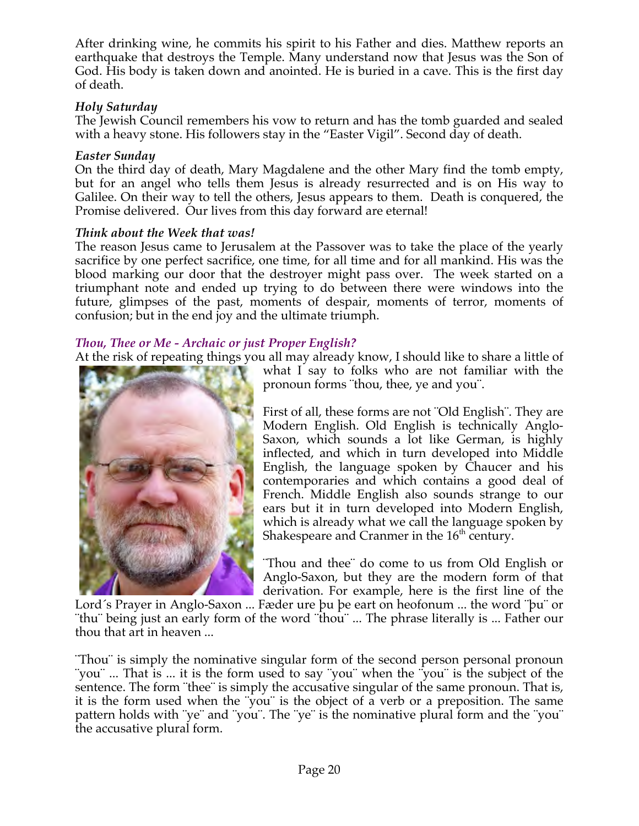After drinking wine, he commits his spirit to his Father and dies. Matthew reports an earthquake that destroys the Temple. Many understand now that Jesus was the Son of God. His body is taken down and anointed. He is buried in a cave. This is the first day of death.

## *Holy Saturday*

The Jewish Council remembers his vow to return and has the tomb guarded and sealed with a heavy stone. His followers stay in the "Easter Vigil". Second day of death.

## *Easter Sunday*

On the third day of death, Mary Magdalene and the other Mary find the tomb empty, but for an angel who tells them Jesus is already resurrected and is on His way to Galilee. On their way to tell the others, Jesus appears to them. Death is conquered, the Promise delivered. Our lives from this day forward are eternal!

## *Think about the Week that was!*

The reason Jesus came to Jerusalem at the Passover was to take the place of the yearly sacrifice by one perfect sacrifice, one time, for all time and for all mankind. His was the blood marking our door that the destroyer might pass over. The week started on a triumphant note and ended up trying to do between there were windows into the future, glimpses of the past, moments of despair, moments of terror, moments of confusion; but in the end joy and the ultimate triumph.

## *Thou, Thee or Me - Archaic or just Proper English?*

At the risk of repeating things you all may already know, I should like to share a little of



what I say to folks who are not familiar with the pronoun forms ¨thou, thee, ye and you¨.

First of all, these forms are not ¨Old English¨. They are Modern English. Old English is technically Anglo-Saxon, which sounds a lot like German, is highly inflected, and which in turn developed into Middle English, the language spoken by Chaucer and his contemporaries and which contains a good deal of French. Middle English also sounds strange to our ears but it in turn developed into Modern English, which is already what we call the language spoken by Shakespeare and Cranmer in the  $16<sup>th</sup>$  century.

¨Thou and thee¨ do come to us from Old English or Anglo-Saxon, but they are the modern form of that derivation. For example, here is the first line of the

Lord´s Prayer in Anglo-Saxon ... Fæder ure þu þe eart on heofonum ... the word ¨þu¨ or ¨thu¨ being just an early form of the word ¨thou¨ ... The phrase literally is ... Father our thou that art in heaven ...

¨Thou¨ is simply the nominative singular form of the second person personal pronoun ¨you¨ ... That is ... it is the form used to say ¨you¨ when the ¨you¨ is the subject of the sentence. The form "thee" is simply the accusative singular of the same pronoun. That is, it is the form used when the ¨you¨ is the object of a verb or a preposition. The same pattern holds with ¨ye¨ and ¨you¨. The ¨ye¨ is the nominative plural form and the ¨you¨ the accusative plural form.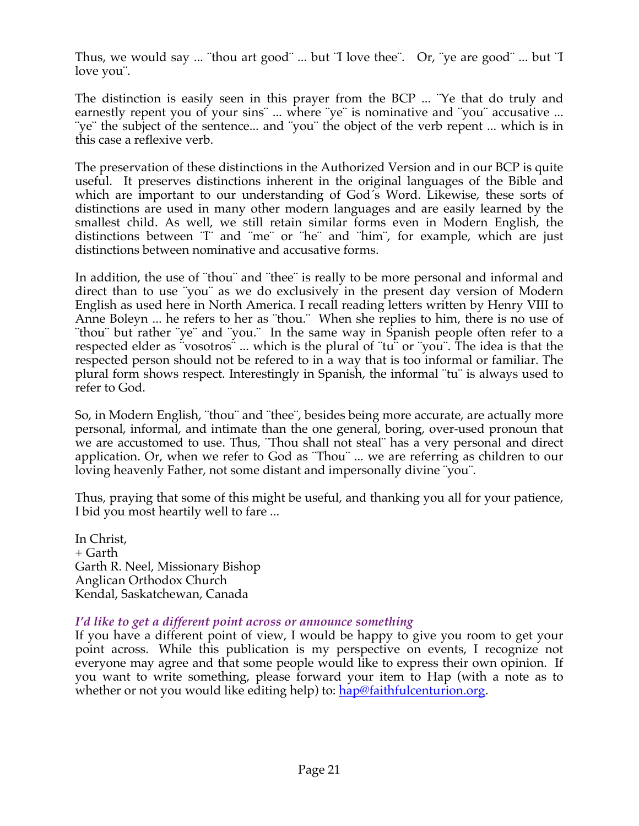Thus, we would say ... ¨thou art good¨ ... but ¨I love thee¨. Or, ¨ye are good¨ ... but ¨I love you¨.

The distinction is easily seen in this prayer from the BCP ... ¨Ye that do truly and earnestly repent you of your sins¨ ... where ¨ye¨ is nominative and ¨you¨ accusative ... ¨ye¨ the subject of the sentence... and ¨you¨ the object of the verb repent ... which is in this case a reflexive verb.

The preservation of these distinctions in the Authorized Version and in our BCP is quite useful. It preserves distinctions inherent in the original languages of the Bible and which are important to our understanding of God´s Word. Likewise, these sorts of distinctions are used in many other modern languages and are easily learned by the smallest child. As well, we still retain similar forms even in Modern English, the distinctions between ¨I¨ and ¨me¨ or ¨he¨ and ¨him¨, for example, which are just distinctions between nominative and accusative forms.

In addition, the use of "thou" and "thee" is really to be more personal and informal and direct than to use ¨you¨ as we do exclusively in the present day version of Modern English as used here in North America. I recall reading letters written by Henry VIII to Anne Boleyn ... he refers to her as ¨thou.¨ When she replies to him, there is no use of ¨thou¨ but rather ¨ye¨ and ¨you.¨ In the same way in Spanish people often refer to a respected elder as ¨vosotros¨ ... which is the plural of ¨tu¨ or ¨you¨. The idea is that the respected person should not be refered to in a way that is too informal or familiar. The plural form shows respect. Interestingly in Spanish, the informal ¨tu¨ is always used to refer to God.

So, in Modern English, ¨thou¨ and ¨thee¨, besides being more accurate, are actually more personal, informal, and intimate than the one general, boring, over-used pronoun that we are accustomed to use. Thus, ¨Thou shall not steal¨ has a very personal and direct application. Or, when we refer to God as ¨Thou¨ ... we are referring as children to our loving heavenly Father, not some distant and impersonally divine ¨you¨.

Thus, praying that some of this might be useful, and thanking you all for your patience, I bid you most heartily well to fare ...

In Christ, + Garth Garth R. Neel, Missionary Bishop Anglican Orthodox Church Kendal, Saskatchewan, Canada

## *I'd like to get a different point across or announce something*

If you have a different point of view, I would be happy to give you room to get your point across. While this publication is my perspective on events, I recognize not everyone may agree and that some people would like to express their own opinion. If you want to write something, please forward your item to Hap (with a note as to whether or not you would like editing help) to: hap@faithfulcenturion.org.